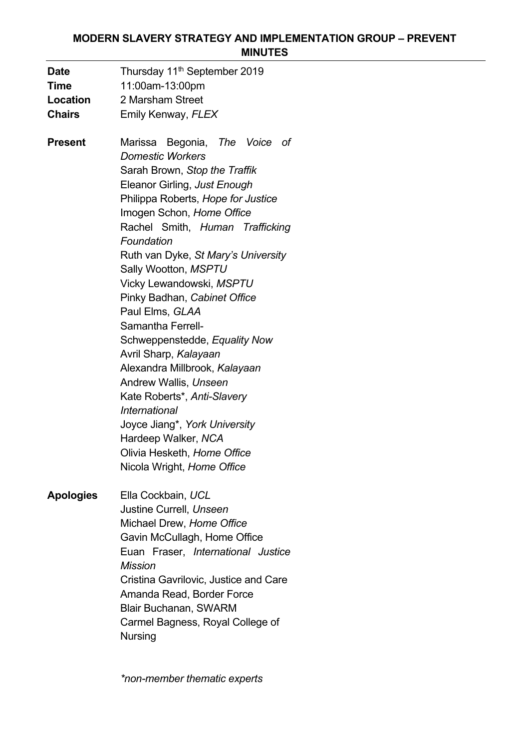## **MODERN SLAVERY STRATEGY AND IMPLEMENTATION GROUP – PREVENT MINUTES**

| <b>Date</b><br>Time<br>Location<br><b>Chairs</b> | Thursday 11 <sup>th</sup> September 2019<br>11:00am-13:00pm<br>2 Marsham Street<br>Emily Kenway, FLEX                                                                                                                                                                                                                                                                                                                                                                                                                                                                                                                                                                                                            |
|--------------------------------------------------|------------------------------------------------------------------------------------------------------------------------------------------------------------------------------------------------------------------------------------------------------------------------------------------------------------------------------------------------------------------------------------------------------------------------------------------------------------------------------------------------------------------------------------------------------------------------------------------------------------------------------------------------------------------------------------------------------------------|
| Present                                          | Marissa Begonia, The Voice of<br><b>Domestic Workers</b><br>Sarah Brown, Stop the Traffik<br>Eleanor Girling, Just Enough<br>Philippa Roberts, Hope for Justice<br>Imogen Schon, Home Office<br>Rachel Smith, Human Trafficking<br>Foundation<br>Ruth van Dyke, St Mary's University<br>Sally Wootton, MSPTU<br>Vicky Lewandowski, MSPTU<br>Pinky Badhan, Cabinet Office<br>Paul Elms, GLAA<br>Samantha Ferrell-<br>Schweppenstedde, Equality Now<br>Avril Sharp, Kalayaan<br>Alexandra Millbrook, Kalayaan<br>Andrew Wallis, Unseen<br>Kate Roberts*, Anti-Slavery<br><i>International</i><br>Joyce Jiang*, York University<br>Hardeep Walker, NCA<br>Olivia Hesketh, Home Office<br>Nicola Wright, Home Office |
| Apologies                                        | Ella Cockbain, UCL<br>Justine Currell, Unseen<br>Michael Drew, Home Office<br>Gavin McCullagh, Home Office<br>Euan Fraser, International Justice<br><b>Mission</b><br>Cristina Gavrilovic, Justice and Care<br>Amanda Read, Border Force<br><b>Blair Buchanan, SWARM</b><br>Carmel Bagness, Royal College of<br><b>Nursing</b>                                                                                                                                                                                                                                                                                                                                                                                   |

*\*non-member thematic experts*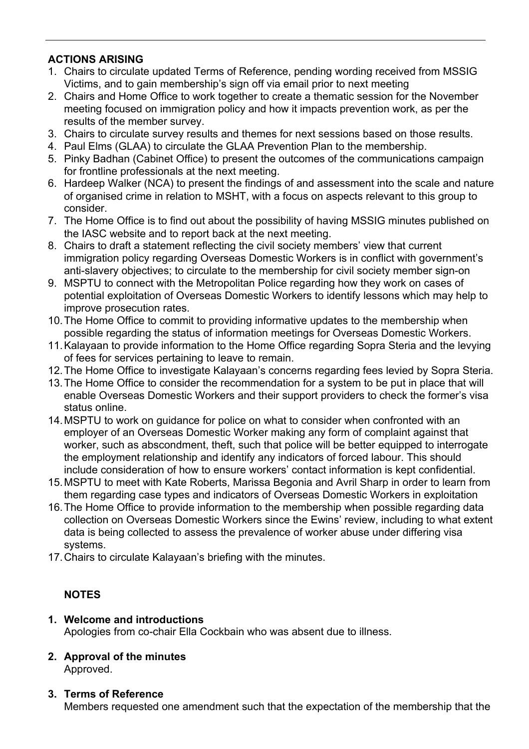# **ACTIONS ARISING**

- 1. Chairs to circulate updated Terms of Reference, pending wording received from MSSIG Victims, and to gain membership's sign off via email prior to next meeting
- 2. Chairs and Home Office to work together to create a thematic session for the November meeting focused on immigration policy and how it impacts prevention work, as per the results of the member survey.
- 3. Chairs to circulate survey results and themes for next sessions based on those results.
- 4. Paul Elms (GLAA) to circulate the GLAA Prevention Plan to the membership.
- 5. Pinky Badhan (Cabinet Office) to present the outcomes of the communications campaign for frontline professionals at the next meeting.
- 6. Hardeep Walker (NCA) to present the findings of and assessment into the scale and nature of organised crime in relation to MSHT, with a focus on aspects relevant to this group to consider.
- 7. The Home Office is to find out about the possibility of having MSSIG minutes published on the IASC website and to report back at the next meeting.
- 8. Chairs to draft a statement reflecting the civil society members' view that current immigration policy regarding Overseas Domestic Workers is in conflict with government's anti-slavery objectives; to circulate to the membership for civil society member sign-on
- 9. MSPTU to connect with the Metropolitan Police regarding how they work on cases of potential exploitation of Overseas Domestic Workers to identify lessons which may help to improve prosecution rates.
- 10.The Home Office to commit to providing informative updates to the membership when possible regarding the status of information meetings for Overseas Domestic Workers.
- 11.Kalayaan to provide information to the Home Office regarding Sopra Steria and the levying of fees for services pertaining to leave to remain.
- 12.The Home Office to investigate Kalayaan's concerns regarding fees levied by Sopra Steria.
- 13.The Home Office to consider the recommendation for a system to be put in place that will enable Overseas Domestic Workers and their support providers to check the former's visa status online.
- 14.MSPTU to work on guidance for police on what to consider when confronted with an employer of an Overseas Domestic Worker making any form of complaint against that worker, such as abscondment, theft, such that police will be better equipped to interrogate the employment relationship and identify any indicators of forced labour. This should include consideration of how to ensure workers' contact information is kept confidential.
- 15.MSPTU to meet with Kate Roberts, Marissa Begonia and Avril Sharp in order to learn from them regarding case types and indicators of Overseas Domestic Workers in exploitation
- 16.The Home Office to provide information to the membership when possible regarding data collection on Overseas Domestic Workers since the Ewins' review, including to what extent data is being collected to assess the prevalence of worker abuse under differing visa systems.
- 17.Chairs to circulate Kalayaan's briefing with the minutes.

# **NOTES**

### **1. Welcome and introductions**  Apologies from co-chair Ella Cockbain who was absent due to illness.

**2. Approval of the minutes** Approved.

## **3. Terms of Reference**

Members requested one amendment such that the expectation of the membership that the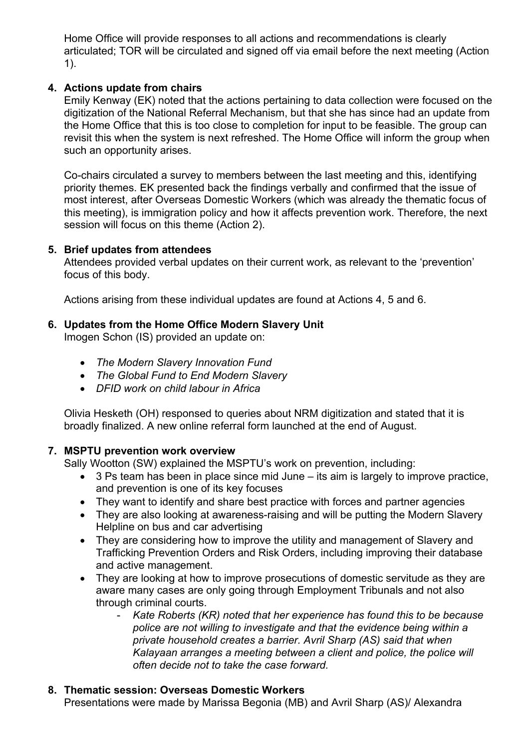Home Office will provide responses to all actions and recommendations is clearly articulated; TOR will be circulated and signed off via email before the next meeting (Action 1).

## **4. Actions update from chairs**

Emily Kenway (EK) noted that the actions pertaining to data collection were focused on the digitization of the National Referral Mechanism, but that she has since had an update from the Home Office that this is too close to completion for input to be feasible. The group can revisit this when the system is next refreshed. The Home Office will inform the group when such an opportunity arises.

Co-chairs circulated a survey to members between the last meeting and this, identifying priority themes. EK presented back the findings verbally and confirmed that the issue of most interest, after Overseas Domestic Workers (which was already the thematic focus of this meeting), is immigration policy and how it affects prevention work. Therefore, the next session will focus on this theme (Action 2).

#### **5. Brief updates from attendees**

Attendees provided verbal updates on their current work, as relevant to the 'prevention' focus of this body.

Actions arising from these individual updates are found at Actions 4, 5 and 6.

### **6. Updates from the Home Office Modern Slavery Unit**

Imogen Schon (IS) provided an update on:

- *The Modern Slavery Innovation Fund*
- *The Global Fund to End Modern Slavery*
- *DFID work on child labour in Africa*

Olivia Hesketh (OH) responsed to queries about NRM digitization and stated that it is broadly finalized. A new online referral form launched at the end of August.

## **7. MSPTU prevention work overview**

Sally Wootton (SW) explained the MSPTU's work on prevention, including:

- 3 Ps team has been in place since mid June its aim is largely to improve practice, and prevention is one of its key focuses
- They want to identify and share best practice with forces and partner agencies
- They are also looking at awareness-raising and will be putting the Modern Slavery Helpline on bus and car advertising
- They are considering how to improve the utility and management of Slavery and Trafficking Prevention Orders and Risk Orders, including improving their database and active management.
- They are looking at how to improve prosecutions of domestic servitude as they are aware many cases are only going through Employment Tribunals and not also through criminal courts.
	- *Kate Roberts (KR) noted that her experience has found this to be because police are not willing to investigate and that the evidence being within a private household creates a barrier. Avril Sharp (AS) said that when Kalayaan arranges a meeting between a client and police, the police will often decide not to take the case forward.*

#### **8. Thematic session: Overseas Domestic Workers**

Presentations were made by Marissa Begonia (MB) and Avril Sharp (AS)/ Alexandra